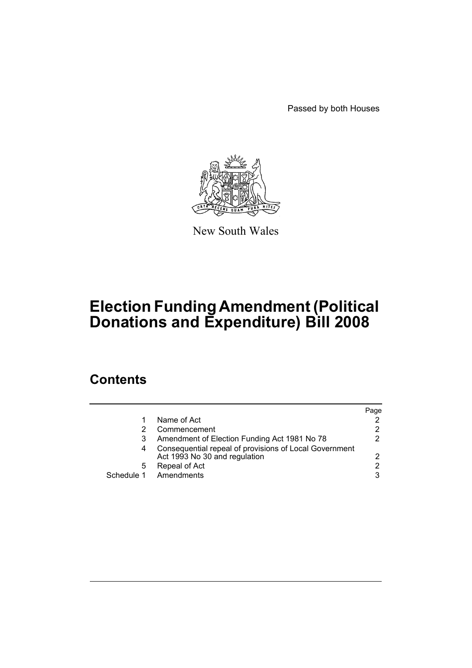Passed by both Houses



New South Wales

# **Election Funding Amendment (Political Donations and Expenditure) Bill 2008**

# **Contents**

|   |                                                                                         | Page |
|---|-----------------------------------------------------------------------------------------|------|
|   | Name of Act                                                                             |      |
|   | Commencement                                                                            | 2    |
|   | Amendment of Election Funding Act 1981 No 78                                            | 2.   |
|   | Consequential repeal of provisions of Local Government<br>Act 1993 No 30 and regulation | 2    |
| 5 | Repeal of Act                                                                           | 2    |
|   | Schedule 1 Amendments                                                                   | 3    |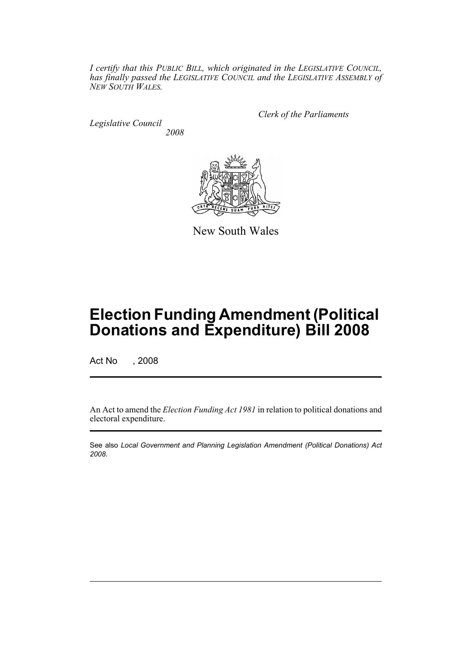*I certify that this PUBLIC BILL, which originated in the LEGISLATIVE COUNCIL, has finally passed the LEGISLATIVE COUNCIL and the LEGISLATIVE ASSEMBLY of NEW SOUTH WALES.*

*Legislative Council 2008* *Clerk of the Parliaments*



New South Wales

# **Election Funding Amendment (Political Donations and Expenditure) Bill 2008**

Act No , 2008

An Act to amend the *Election Funding Act 1981* in relation to political donations and electoral expenditure.

See also *Local Government and Planning Legislation Amendment (Political Donations) Act 2008*.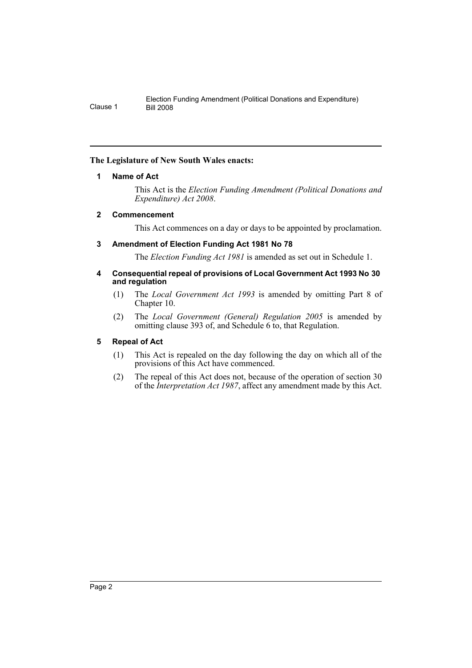# <span id="page-2-0"></span>**The Legislature of New South Wales enacts:**

# **1 Name of Act**

This Act is the *Election Funding Amendment (Political Donations and Expenditure) Act 2008*.

# <span id="page-2-1"></span>**2 Commencement**

This Act commences on a day or days to be appointed by proclamation.

# <span id="page-2-2"></span>**3 Amendment of Election Funding Act 1981 No 78**

The *Election Funding Act 1981* is amended as set out in Schedule 1.

## <span id="page-2-3"></span>**4 Consequential repeal of provisions of Local Government Act 1993 No 30 and regulation**

- (1) The *Local Government Act 1993* is amended by omitting Part 8 of Chapter 10.
- (2) The *Local Government (General) Regulation 2005* is amended by omitting clause 393 of, and Schedule 6 to, that Regulation.

# <span id="page-2-4"></span>**5 Repeal of Act**

- (1) This Act is repealed on the day following the day on which all of the provisions of this Act have commenced.
- (2) The repeal of this Act does not, because of the operation of section 30 of the *Interpretation Act 1987*, affect any amendment made by this Act.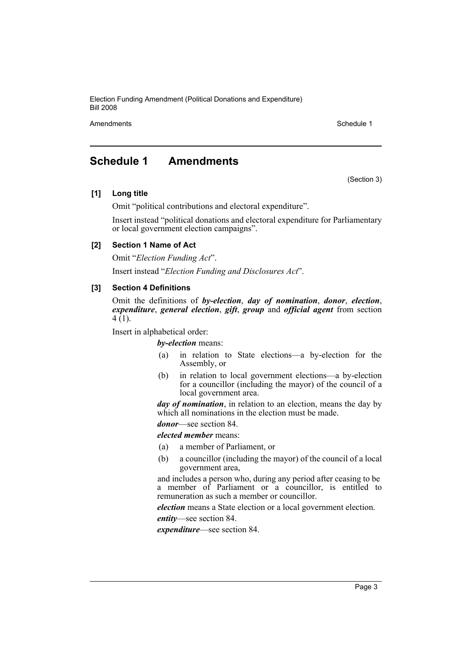Amendments **Schedule 1** and the set of the set of the set of the set of the set of the set of the set of the set of the set of the set of the set of the set of the set of the set of the set of the set of the set of the set

(Section 3)

# <span id="page-3-0"></span>**Schedule 1 Amendments**

#### **[1] Long title**

Omit "political contributions and electoral expenditure".

Insert instead "political donations and electoral expenditure for Parliamentary or local government election campaigns".

### **[2] Section 1 Name of Act**

Omit "*Election Funding Act*". Insert instead "*Election Funding and Disclosures Act*".

### **[3] Section 4 Definitions**

Omit the definitions of *by-election*, *day of nomination*, *donor*, *election*, *expenditure*, *general election*, *gift*, *group* and *official agent* from section  $4(1)$ .

Insert in alphabetical order:

*by-election* means:

- (a) in relation to State elections—a by-election for the Assembly, or
- (b) in relation to local government elections—a by-election for a councillor (including the mayor) of the council of a local government area.

*day of nomination*, in relation to an election, means the day by which all nominations in the election must be made.

*donor*—see section 84.

*elected member* means:

- (a) a member of Parliament, or
- (b) a councillor (including the mayor) of the council of a local government area,

and includes a person who, during any period after ceasing to be a member of Parliament or a councillor, is entitled to remuneration as such a member or councillor.

*election* means a State election or a local government election.

*entity*—see section 84.

*expenditure*—see section 84.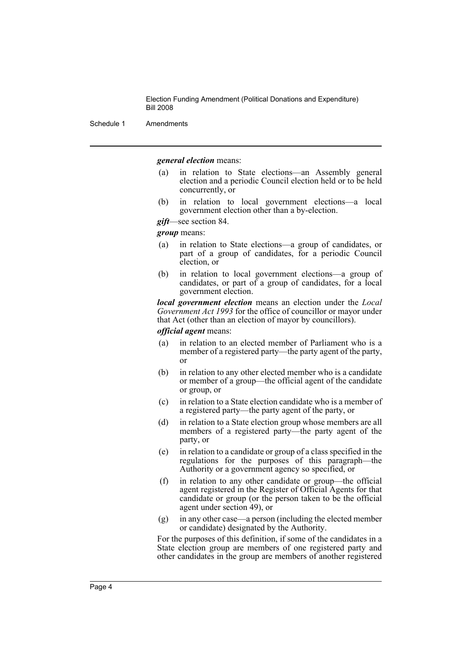Schedule 1 Amendments

*general election* means:

- (a) in relation to State elections—an Assembly general election and a periodic Council election held or to be held concurrently, or
- (b) in relation to local government elections—a local government election other than a by-election.
- *gift*—see section 84.

*group* means:

- (a) in relation to State elections—a group of candidates, or part of a group of candidates, for a periodic Council election, or
- (b) in relation to local government elections—a group of candidates, or part of a group of candidates, for a local government election.

*local government election* means an election under the *Local Government Act 1993* for the office of councillor or mayor under that Act (other than an election of mayor by councillors).

*official agent* means:

- (a) in relation to an elected member of Parliament who is a member of a registered party—the party agent of the party, or
- (b) in relation to any other elected member who is a candidate or member of a group—the official agent of the candidate or group, or
- (c) in relation to a State election candidate who is a member of a registered party—the party agent of the party, or
- (d) in relation to a State election group whose members are all members of a registered party—the party agent of the party, or
- (e) in relation to a candidate or group of a class specified in the regulations for the purposes of this paragraph—the Authority or a government agency so specified, or
- (f) in relation to any other candidate or group—the official agent registered in the Register of Official Agents for that candidate or group (or the person taken to be the official agent under section 49), or
- (g) in any other case—a person (including the elected member or candidate) designated by the Authority.

For the purposes of this definition, if some of the candidates in a State election group are members of one registered party and other candidates in the group are members of another registered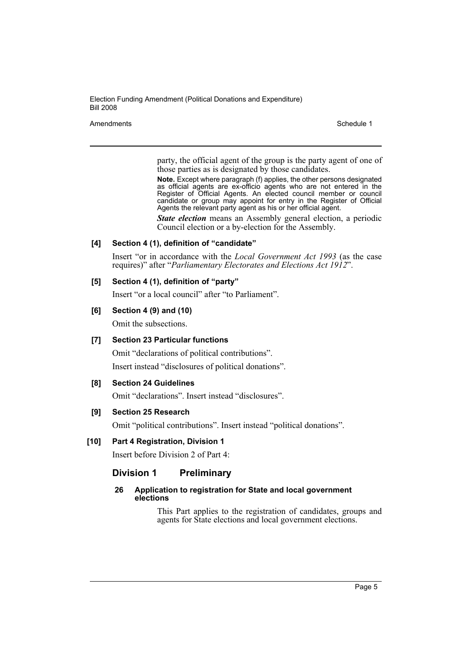Amendments **Schedule 1** and the set of the set of the set of the set of the set of the set of the set of the set of the set of the set of the set of the set of the set of the set of the set of the set of the set of the set

party, the official agent of the group is the party agent of one of those parties as is designated by those candidates.

**Note.** Except where paragraph (f) applies, the other persons designated as official agents are ex-officio agents who are not entered in the Register of Official Agents. An elected council member or council candidate or group may appoint for entry in the Register of Official Agents the relevant party agent as his or her official agent.

*State election* means an Assembly general election, a periodic Council election or a by-election for the Assembly.

### **[4] Section 4 (1), definition of "candidate"**

Insert "or in accordance with the *Local Government Act 1993* (as the case requires)" after "*Parliamentary Electorates and Elections Act 1912*".

# **[5] Section 4 (1), definition of "party"**

Insert "or a local council" after "to Parliament".

### **[6] Section 4 (9) and (10)**

Omit the subsections.

# **[7] Section 23 Particular functions**

Omit "declarations of political contributions". Insert instead "disclosures of political donations".

# **[8] Section 24 Guidelines**

Omit "declarations". Insert instead "disclosures".

# **[9] Section 25 Research**

Omit "political contributions". Insert instead "political donations".

# **[10] Part 4 Registration, Division 1**

Insert before Division 2 of Part 4:

# **Division 1 Preliminary**

### **26 Application to registration for State and local government elections**

This Part applies to the registration of candidates, groups and agents for State elections and local government elections.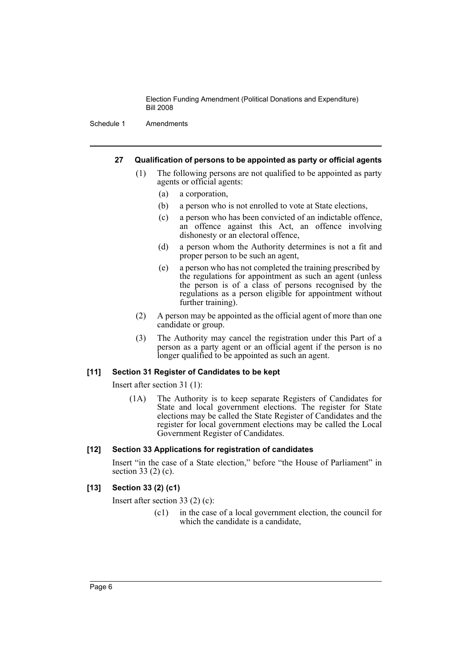Schedule 1 Amendments

### **27 Qualification of persons to be appointed as party or official agents**

- (1) The following persons are not qualified to be appointed as party agents or official agents:
	- (a) a corporation,
	- (b) a person who is not enrolled to vote at State elections,
	- (c) a person who has been convicted of an indictable offence, an offence against this Act, an offence involving dishonesty or an electoral offence,
	- (d) a person whom the Authority determines is not a fit and proper person to be such an agent,
	- (e) a person who has not completed the training prescribed by the regulations for appointment as such an agent (unless the person is of a class of persons recognised by the regulations as a person eligible for appointment without further training).
- (2) A person may be appointed as the official agent of more than one candidate or group.
- (3) The Authority may cancel the registration under this Part of a person as a party agent or an official agent if the person is no longer qualified to be appointed as such an agent.

#### **[11] Section 31 Register of Candidates to be kept**

Insert after section 31 (1):

(1A) The Authority is to keep separate Registers of Candidates for State and local government elections. The register for State elections may be called the State Register of Candidates and the register for local government elections may be called the Local Government Register of Candidates.

# **[12] Section 33 Applications for registration of candidates**

Insert "in the case of a State election," before "the House of Parliament" in section 33 (2) (c).

# **[13] Section 33 (2) (c1)**

Insert after section 33 (2) (c):

(c1) in the case of a local government election, the council for which the candidate is a candidate.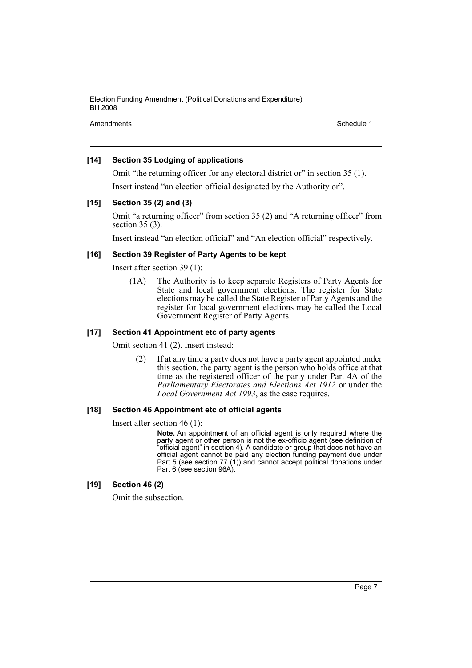Amendments **Amendments** Schedule 1

## **[14] Section 35 Lodging of applications**

Omit "the returning officer for any electoral district or" in section 35 (1). Insert instead "an election official designated by the Authority or".

# **[15] Section 35 (2) and (3)**

Omit "a returning officer" from section 35 (2) and "A returning officer" from section 35 (3).

Insert instead "an election official" and "An election official" respectively.

# **[16] Section 39 Register of Party Agents to be kept**

Insert after section 39 (1):

(1A) The Authority is to keep separate Registers of Party Agents for State and local government elections. The register for State elections may be called the State Register of Party Agents and the register for local government elections may be called the Local Government Register of Party Agents.

# **[17] Section 41 Appointment etc of party agents**

Omit section 41 (2). Insert instead:

(2) If at any time a party does not have a party agent appointed under this section, the party agent is the person who holds office at that time as the registered officer of the party under Part 4A of the *Parliamentary Electorates and Elections Act 1912* or under the *Local Government Act 1993*, as the case requires.

## **[18] Section 46 Appointment etc of official agents**

Insert after section 46 (1):

**Note.** An appointment of an official agent is only required where the party agent or other person is not the ex-officio agent (see definition of "official agent" in section 4). A candidate or group that does not have an official agent cannot be paid any election funding payment due under Part 5 (see section 77 (1)) and cannot accept political donations under Part 6 (see section 96A).

#### **[19] Section 46 (2)**

Omit the subsection.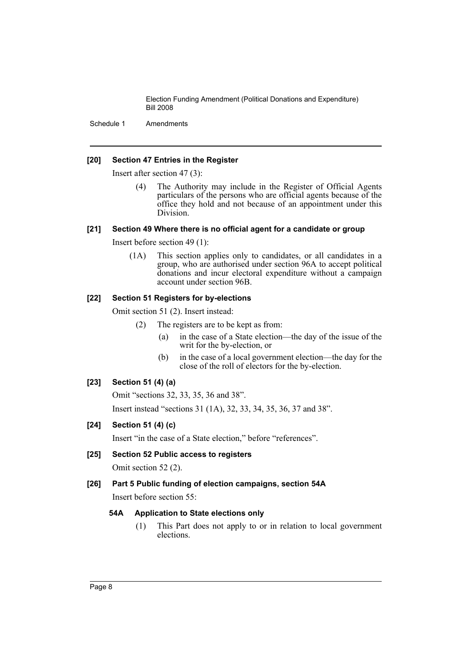Schedule 1 Amendments

### **[20] Section 47 Entries in the Register**

Insert after section 47 (3):

(4) The Authority may include in the Register of Official Agents particulars of the persons who are official agents because of the office they hold and not because of an appointment under this Division.

#### **[21] Section 49 Where there is no official agent for a candidate or group**

Insert before section 49 (1):

(1A) This section applies only to candidates, or all candidates in a group, who are authorised under section 96A to accept political donations and incur electoral expenditure without a campaign account under section 96B.

### **[22] Section 51 Registers for by-elections**

Omit section 51 (2). Insert instead:

- (2) The registers are to be kept as from:
	- (a) in the case of a State election—the day of the issue of the writ for the by-election, or
	- (b) in the case of a local government election—the day for the close of the roll of electors for the by-election.

# **[23] Section 51 (4) (a)**

Omit "sections 32, 33, 35, 36 and 38".

Insert instead "sections 31 (1A), 32, 33, 34, 35, 36, 37 and 38".

# **[24] Section 51 (4) (c)**

Insert "in the case of a State election," before "references".

# **[25] Section 52 Public access to registers**

Omit section 52 (2).

# **[26] Part 5 Public funding of election campaigns, section 54A**

Insert before section 55:

# **54A Application to State elections only**

(1) This Part does not apply to or in relation to local government elections.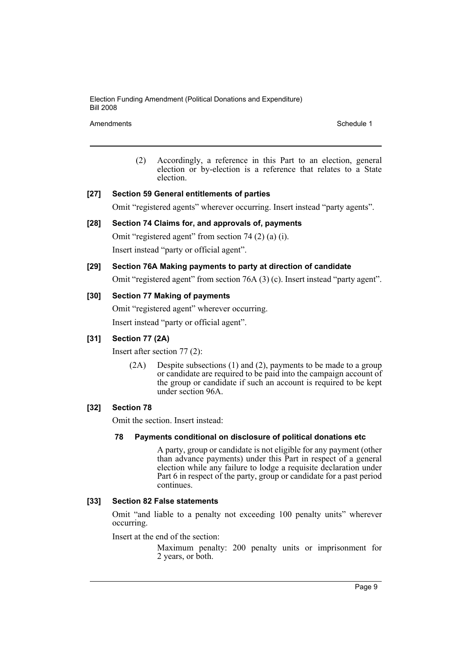Amendments **Schedule 1** and the set of the set of the set of the set of the set of the set of the set of the set of the set of the set of the set of the set of the set of the set of the set of the set of the set of the set

(2) Accordingly, a reference in this Part to an election, general election or by-election is a reference that relates to a State election.

## **[27] Section 59 General entitlements of parties**

Omit "registered agents" wherever occurring. Insert instead "party agents".

# **[28] Section 74 Claims for, and approvals of, payments**

Omit "registered agent" from section 74 (2) (a) (i). Insert instead "party or official agent".

# **[29] Section 76A Making payments to party at direction of candidate**

Omit "registered agent" from section 76A (3) (c). Insert instead "party agent".

### **[30] Section 77 Making of payments**

Omit "registered agent" wherever occurring.

Insert instead "party or official agent".

# **[31] Section 77 (2A)**

Insert after section 77 (2):

(2A) Despite subsections (1) and (2), payments to be made to a group or candidate are required to be paid into the campaign account of the group or candidate if such an account is required to be kept under section 96A.

# **[32] Section 78**

Omit the section. Insert instead:

#### **78 Payments conditional on disclosure of political donations etc**

A party, group or candidate is not eligible for any payment (other than advance payments) under this Part in respect of a general election while any failure to lodge a requisite declaration under Part 6 in respect of the party, group or candidate for a past period continues.

#### **[33] Section 82 False statements**

Omit "and liable to a penalty not exceeding 100 penalty units" wherever occurring.

Insert at the end of the section:

Maximum penalty: 200 penalty units or imprisonment for 2 years, or both.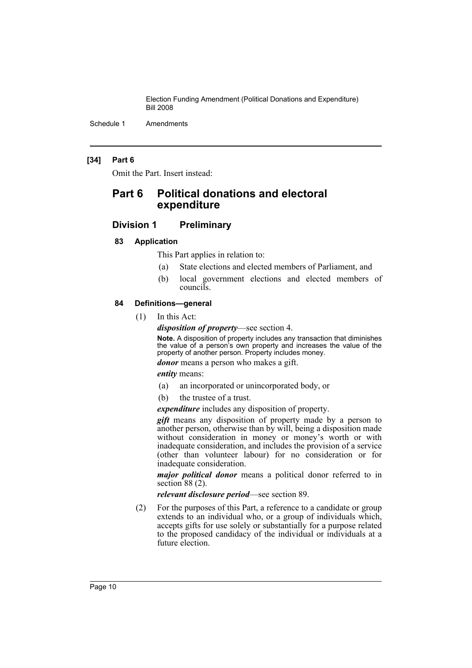Schedule 1 Amendments

### **[34] Part 6**

Omit the Part. Insert instead:

# **Part 6 Political donations and electoral expenditure**

# **Division 1 Preliminary**

#### **83 Application**

This Part applies in relation to:

- (a) State elections and elected members of Parliament, and
- (b) local government elections and elected members of councils.

#### **84 Definitions—general**

(1) In this Act:

*disposition of property*—see section 4.

**Note.** A disposition of property includes any transaction that diminishes the value of a person's own property and increases the value of the property of another person. Property includes money.

*donor* means a person who makes a gift.

*entity* means:

- (a) an incorporated or unincorporated body, or
- (b) the trustee of a trust.

*expenditure* includes any disposition of property.

*gift* means any disposition of property made by a person to another person, otherwise than by will, being a disposition made without consideration in money or money's worth or with inadequate consideration, and includes the provision of a service (other than volunteer labour) for no consideration or for inadequate consideration.

*major political donor* means a political donor referred to in section  $88(2)$ .

*relevant disclosure period*—see section 89.

(2) For the purposes of this Part, a reference to a candidate or group extends to an individual who, or a group of individuals which, accepts gifts for use solely or substantially for a purpose related to the proposed candidacy of the individual or individuals at a future election.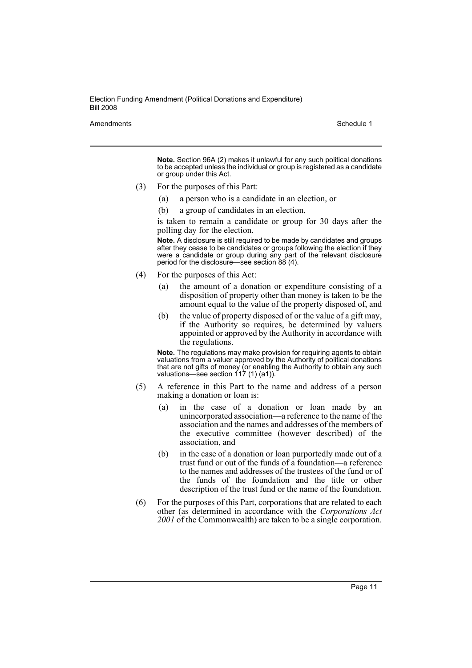Amendments **Amendments** Schedule 1

**Note.** Section 96A (2) makes it unlawful for any such political donations to be accepted unless the individual or group is registered as a candidate or group under this Act.

- (3) For the purposes of this Part:
	- (a) a person who is a candidate in an election, or
	- (b) a group of candidates in an election,

is taken to remain a candidate or group for 30 days after the polling day for the election.

**Note.** A disclosure is still required to be made by candidates and groups after they cease to be candidates or groups following the election if they were a candidate or group during any part of the relevant disclosure period for the disclosure—see section 88 (4).

- (4) For the purposes of this Act:
	- (a) the amount of a donation or expenditure consisting of a disposition of property other than money is taken to be the amount equal to the value of the property disposed of, and
	- (b) the value of property disposed of or the value of a gift may, if the Authority so requires, be determined by valuers appointed or approved by the Authority in accordance with the regulations.

**Note.** The regulations may make provision for requiring agents to obtain valuations from a valuer approved by the Authority of political donations that are not gifts of money (or enabling the Authority to obtain any such valuations—see section 117 (1) (a1)).

- (5) A reference in this Part to the name and address of a person making a donation or loan is:
	- (a) in the case of a donation or loan made by an unincorporated association—a reference to the name of the association and the names and addresses of the members of the executive committee (however described) of the association, and
	- (b) in the case of a donation or loan purportedly made out of a trust fund or out of the funds of a foundation—a reference to the names and addresses of the trustees of the fund or of the funds of the foundation and the title or other description of the trust fund or the name of the foundation.
- (6) For the purposes of this Part, corporations that are related to each other (as determined in accordance with the *Corporations Act 2001* of the Commonwealth) are taken to be a single corporation.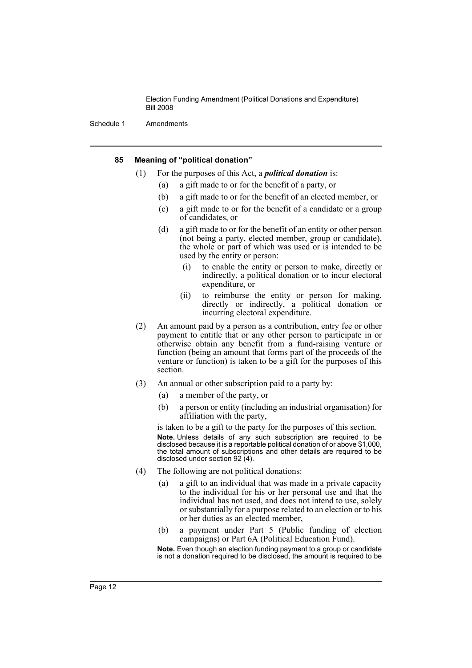Schedule 1 Amendments

#### **85 Meaning of "political donation"**

- (1) For the purposes of this Act, a *political donation* is:
	- (a) a gift made to or for the benefit of a party, or
	- (b) a gift made to or for the benefit of an elected member, or
	- (c) a gift made to or for the benefit of a candidate or a group of candidates, or
	- (d) a gift made to or for the benefit of an entity or other person (not being a party, elected member, group or candidate), the whole or part of which was used or is intended to be used by the entity or person:
		- (i) to enable the entity or person to make, directly or indirectly, a political donation or to incur electoral expenditure, or
		- (ii) to reimburse the entity or person for making, directly or indirectly, a political donation or incurring electoral expenditure.
- (2) An amount paid by a person as a contribution, entry fee or other payment to entitle that or any other person to participate in or otherwise obtain any benefit from a fund-raising venture or function (being an amount that forms part of the proceeds of the venture or function) is taken to be a gift for the purposes of this section.
- (3) An annual or other subscription paid to a party by:
	- (a) a member of the party, or
	- (b) a person or entity (including an industrial organisation) for affiliation with the party,

is taken to be a gift to the party for the purposes of this section. **Note.** Unless details of any such subscription are required to be disclosed because it is a reportable political donation of or above \$1,000, the total amount of subscriptions and other details are required to be disclosed under section 92 (4).

- (4) The following are not political donations:
	- (a) a gift to an individual that was made in a private capacity to the individual for his or her personal use and that the individual has not used, and does not intend to use, solely or substantially for a purpose related to an election or to his or her duties as an elected member,
	- (b) a payment under Part 5 (Public funding of election campaigns) or Part 6A (Political Education Fund).

**Note.** Even though an election funding payment to a group or candidate is not a donation required to be disclosed, the amount is required to be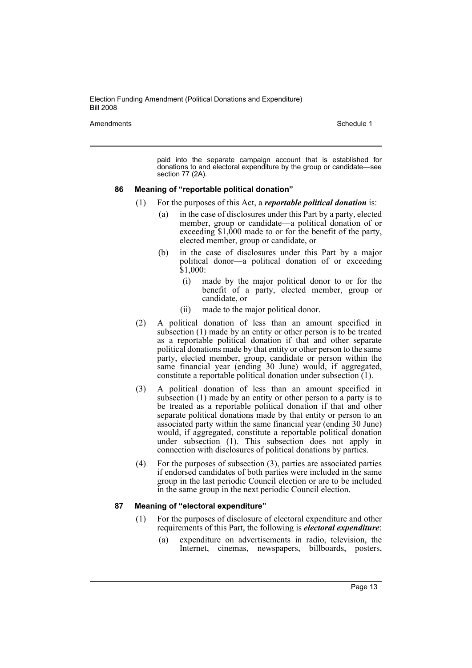Amendments **Amendments** Schedule 1

paid into the separate campaign account that is established for donations to and electoral expenditure by the group or candidate—see section 77 (2A).

#### **86 Meaning of "reportable political donation"**

- (1) For the purposes of this Act, a *reportable political donation* is:
	- (a) in the case of disclosures under this Part by a party, elected member, group or candidate—a political donation of or exceeding \$1,000 made to or for the benefit of the party, elected member, group or candidate, or
	- (b) in the case of disclosures under this Part by a major political donor—a political donation of or exceeding \$1,000:
		- (i) made by the major political donor to or for the benefit of a party, elected member, group or candidate, or
		- (ii) made to the major political donor.
- (2) A political donation of less than an amount specified in subsection (1) made by an entity or other person is to be treated as a reportable political donation if that and other separate political donations made by that entity or other person to the same party, elected member, group, candidate or person within the same financial year (ending 30 June) would, if aggregated, constitute a reportable political donation under subsection (1).
- (3) A political donation of less than an amount specified in subsection (1) made by an entity or other person to a party is to be treated as a reportable political donation if that and other separate political donations made by that entity or person to an associated party within the same financial year (ending 30 June) would, if aggregated, constitute a reportable political donation under subsection (1). This subsection does not apply in connection with disclosures of political donations by parties.
- (4) For the purposes of subsection (3), parties are associated parties if endorsed candidates of both parties were included in the same group in the last periodic Council election or are to be included in the same group in the next periodic Council election.

#### **87 Meaning of "electoral expenditure"**

- (1) For the purposes of disclosure of electoral expenditure and other requirements of this Part, the following is *electoral expenditure*:
	- (a) expenditure on advertisements in radio, television, the Internet, cinemas, newspapers, billboards, posters,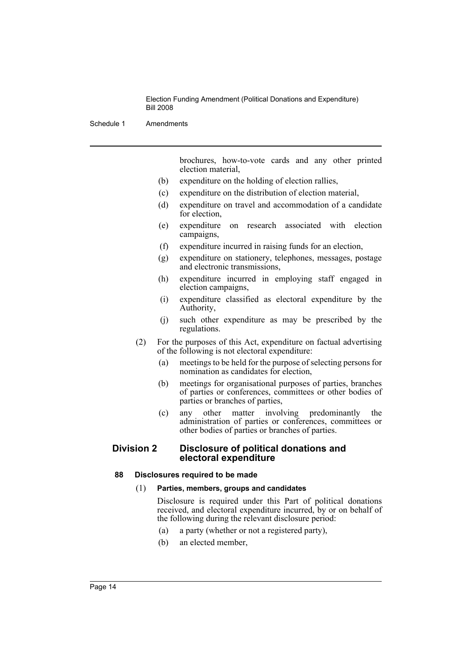Schedule 1 Amendments

brochures, how-to-vote cards and any other printed election material,

- (b) expenditure on the holding of election rallies,
- (c) expenditure on the distribution of election material,
- (d) expenditure on travel and accommodation of a candidate for election,
- (e) expenditure on research associated with election campaigns,
- (f) expenditure incurred in raising funds for an election,
- (g) expenditure on stationery, telephones, messages, postage and electronic transmissions,
- (h) expenditure incurred in employing staff engaged in election campaigns,
- (i) expenditure classified as electoral expenditure by the Authority,
- (j) such other expenditure as may be prescribed by the regulations.
- (2) For the purposes of this Act, expenditure on factual advertising of the following is not electoral expenditure:
	- (a) meetings to be held for the purpose of selecting persons for nomination as candidates for election,
	- (b) meetings for organisational purposes of parties, branches of parties or conferences, committees or other bodies of parties or branches of parties,
	- (c) any other matter involving predominantly the administration of parties or conferences, committees or other bodies of parties or branches of parties.

# **Division 2 Disclosure of political donations and electoral expenditure**

#### **88 Disclosures required to be made**

#### (1) **Parties, members, groups and candidates**

Disclosure is required under this Part of political donations received, and electoral expenditure incurred, by or on behalf of the following during the relevant disclosure period:

- (a) a party (whether or not a registered party),
- (b) an elected member,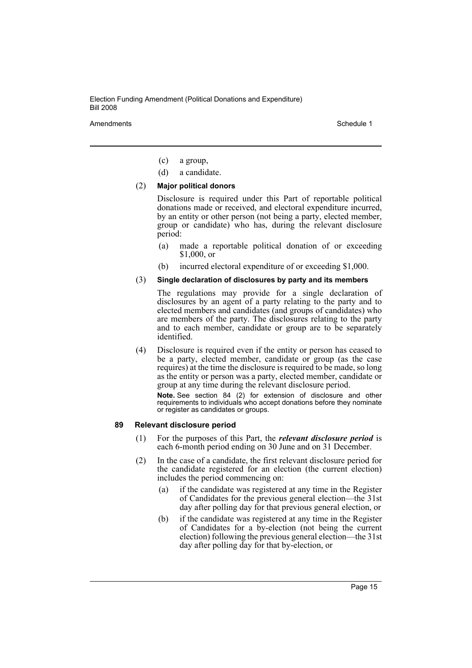Amendments **Amendments** Schedule 1

- (c) a group,
- (d) a candidate.

#### (2) **Major political donors**

Disclosure is required under this Part of reportable political donations made or received, and electoral expenditure incurred, by an entity or other person (not being a party, elected member, group or candidate) who has, during the relevant disclosure period:

- (a) made a reportable political donation of or exceeding \$1,000, or
- (b) incurred electoral expenditure of or exceeding \$1,000.

### (3) **Single declaration of disclosures by party and its members**

The regulations may provide for a single declaration of disclosures by an agent of a party relating to the party and to elected members and candidates (and groups of candidates) who are members of the party. The disclosures relating to the party and to each member, candidate or group are to be separately identified.

(4) Disclosure is required even if the entity or person has ceased to be a party, elected member, candidate or group (as the case requires) at the time the disclosure is required to be made, so long as the entity or person was a party, elected member, candidate or group at any time during the relevant disclosure period.

**Note.** See section 84 (2) for extension of disclosure and other requirements to individuals who accept donations before they nominate or register as candidates or groups.

#### **89 Relevant disclosure period**

- (1) For the purposes of this Part, the *relevant disclosure period* is each 6-month period ending on 30 June and on 31 December.
- (2) In the case of a candidate, the first relevant disclosure period for the candidate registered for an election (the current election) includes the period commencing on:
	- (a) if the candidate was registered at any time in the Register of Candidates for the previous general election—the 31st day after polling day for that previous general election, or
	- (b) if the candidate was registered at any time in the Register of Candidates for a by-election (not being the current election) following the previous general election—the 31st day after polling day for that by-election, or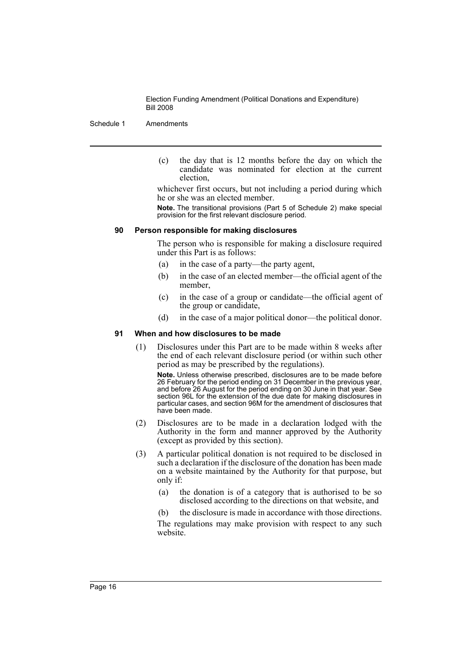Schedule 1 Amendments

(c) the day that is 12 months before the day on which the candidate was nominated for election at the current election,

whichever first occurs, but not including a period during which he or she was an elected member.

**Note.** The transitional provisions (Part 5 of Schedule 2) make special provision for the first relevant disclosure period.

## **90 Person responsible for making disclosures**

The person who is responsible for making a disclosure required under this Part is as follows:

- (a) in the case of a party—the party agent,
- (b) in the case of an elected member—the official agent of the member,
- (c) in the case of a group or candidate—the official agent of the group or candidate,
- (d) in the case of a major political donor—the political donor.

#### **91 When and how disclosures to be made**

(1) Disclosures under this Part are to be made within 8 weeks after the end of each relevant disclosure period (or within such other period as may be prescribed by the regulations).

**Note.** Unless otherwise prescribed, disclosures are to be made before 26 February for the period ending on 31 December in the previous year, and before 26 August for the period ending on 30 June in that year. See section 96L for the extension of the due date for making disclosures in particular cases, and section 96M for the amendment of disclosures that have been made.

- (2) Disclosures are to be made in a declaration lodged with the Authority in the form and manner approved by the Authority (except as provided by this section).
- (3) A particular political donation is not required to be disclosed in such a declaration if the disclosure of the donation has been made on a website maintained by the Authority for that purpose, but only if:
	- (a) the donation is of a category that is authorised to be so disclosed according to the directions on that website, and

(b) the disclosure is made in accordance with those directions. The regulations may make provision with respect to any such website.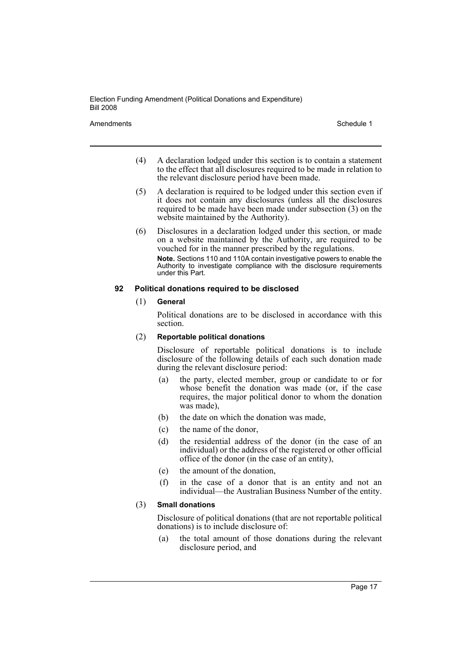Amendments **Amendments** Schedule 1

- (4) A declaration lodged under this section is to contain a statement to the effect that all disclosures required to be made in relation to the relevant disclosure period have been made.
- (5) A declaration is required to be lodged under this section even if it does not contain any disclosures (unless all the disclosures required to be made have been made under subsection (3) on the website maintained by the Authority).
- (6) Disclosures in a declaration lodged under this section, or made on a website maintained by the Authority, are required to be vouched for in the manner prescribed by the regulations. **Note.** Sections 110 and 110A contain investigative powers to enable the Authority to investigate compliance with the disclosure requirements under this Part.

### **92 Political donations required to be disclosed**

### (1) **General**

Political donations are to be disclosed in accordance with this section.

## (2) **Reportable political donations**

Disclosure of reportable political donations is to include disclosure of the following details of each such donation made during the relevant disclosure period:

- (a) the party, elected member, group or candidate to or for whose benefit the donation was made (or, if the case requires, the major political donor to whom the donation was made).
- (b) the date on which the donation was made,
- (c) the name of the donor,
- (d) the residential address of the donor (in the case of an individual) or the address of the registered or other official office of the donor (in the case of an entity),
- (e) the amount of the donation,
- (f) in the case of a donor that is an entity and not an individual—the Australian Business Number of the entity.

# (3) **Small donations**

Disclosure of political donations (that are not reportable political donations) is to include disclosure of:

(a) the total amount of those donations during the relevant disclosure period, and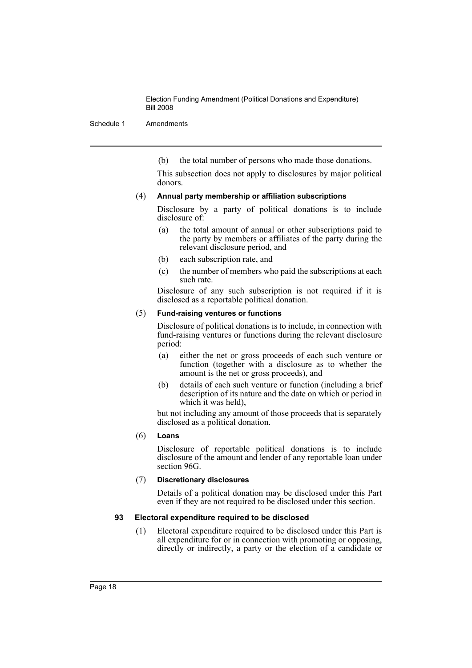Schedule 1 Amendments

(b) the total number of persons who made those donations.

This subsection does not apply to disclosures by major political donors.

### (4) **Annual party membership or affiliation subscriptions**

Disclosure by a party of political donations is to include disclosure of:

- (a) the total amount of annual or other subscriptions paid to the party by members or affiliates of the party during the relevant disclosure period, and
- (b) each subscription rate, and
- (c) the number of members who paid the subscriptions at each such rate.

Disclosure of any such subscription is not required if it is disclosed as a reportable political donation.

### (5) **Fund-raising ventures or functions**

Disclosure of political donations is to include, in connection with fund-raising ventures or functions during the relevant disclosure period:

- (a) either the net or gross proceeds of each such venture or function (together with a disclosure as to whether the amount is the net or gross proceeds), and
- (b) details of each such venture or function (including a brief description of its nature and the date on which or period in which it was held),

but not including any amount of those proceeds that is separately disclosed as a political donation.

# (6) **Loans**

Disclosure of reportable political donations is to include disclosure of the amount and lender of any reportable loan under section 96G.

# (7) **Discretionary disclosures**

Details of a political donation may be disclosed under this Part even if they are not required to be disclosed under this section.

# **93 Electoral expenditure required to be disclosed**

(1) Electoral expenditure required to be disclosed under this Part is all expenditure for or in connection with promoting or opposing, directly or indirectly, a party or the election of a candidate or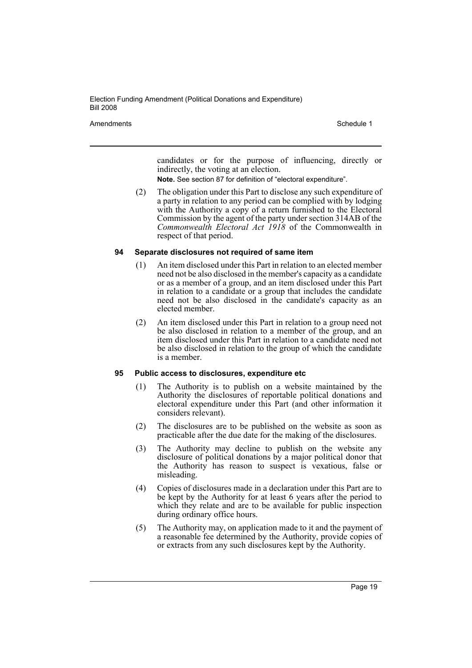Amendments **Amendments** Schedule 1

candidates or for the purpose of influencing, directly or indirectly, the voting at an election.

**Note.** See section 87 for definition of "electoral expenditure".

(2) The obligation under this Part to disclose any such expenditure of a party in relation to any period can be complied with by lodging with the Authority a copy of a return furnished to the Electoral Commission by the agent of the party under section 314AB of the *Commonwealth Electoral Act 1918* of the Commonwealth in respect of that period.

#### **94 Separate disclosures not required of same item**

- (1) An item disclosed under this Part in relation to an elected member need not be also disclosed in the member's capacity as a candidate or as a member of a group, and an item disclosed under this Part in relation to a candidate or a group that includes the candidate need not be also disclosed in the candidate's capacity as an elected member.
- (2) An item disclosed under this Part in relation to a group need not be also disclosed in relation to a member of the group, and an item disclosed under this Part in relation to a candidate need not be also disclosed in relation to the group of which the candidate is a member.

#### **95 Public access to disclosures, expenditure etc**

- (1) The Authority is to publish on a website maintained by the Authority the disclosures of reportable political donations and electoral expenditure under this Part (and other information it considers relevant).
- (2) The disclosures are to be published on the website as soon as practicable after the due date for the making of the disclosures.
- (3) The Authority may decline to publish on the website any disclosure of political donations by a major political donor that the Authority has reason to suspect is vexatious, false or misleading.
- (4) Copies of disclosures made in a declaration under this Part are to be kept by the Authority for at least 6 years after the period to which they relate and are to be available for public inspection during ordinary office hours.
- (5) The Authority may, on application made to it and the payment of a reasonable fee determined by the Authority, provide copies of or extracts from any such disclosures kept by the Authority.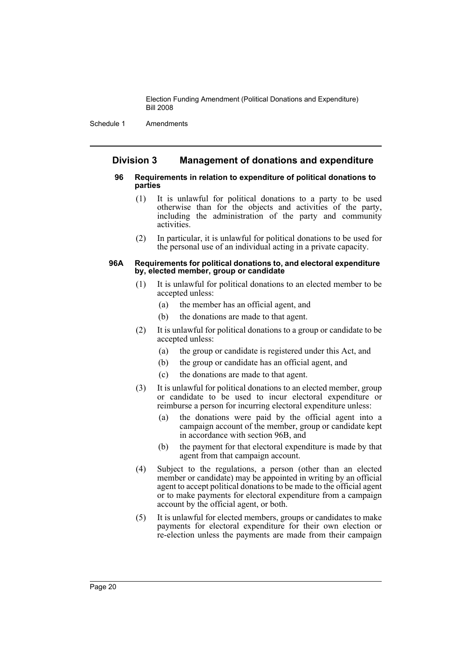Schedule 1 Amendments

# **Division 3 Management of donations and expenditure**

#### **96 Requirements in relation to expenditure of political donations to parties**

- (1) It is unlawful for political donations to a party to be used otherwise than for the objects and activities of the party, including the administration of the party and community activities.
- (2) In particular, it is unlawful for political donations to be used for the personal use of an individual acting in a private capacity.

#### **96A Requirements for political donations to, and electoral expenditure by, elected member, group or candidate**

- (1) It is unlawful for political donations to an elected member to be accepted unless:
	- (a) the member has an official agent, and
	- (b) the donations are made to that agent.
- (2) It is unlawful for political donations to a group or candidate to be accepted unless:
	- (a) the group or candidate is registered under this Act, and
	- (b) the group or candidate has an official agent, and
	- (c) the donations are made to that agent.
- (3) It is unlawful for political donations to an elected member, group or candidate to be used to incur electoral expenditure or reimburse a person for incurring electoral expenditure unless:
	- (a) the donations were paid by the official agent into a campaign account of the member, group or candidate kept in accordance with section 96B, and
	- (b) the payment for that electoral expenditure is made by that agent from that campaign account.
- (4) Subject to the regulations, a person (other than an elected member or candidate) may be appointed in writing by an official agent to accept political donations to be made to the official agent or to make payments for electoral expenditure from a campaign account by the official agent, or both.
- (5) It is unlawful for elected members, groups or candidates to make payments for electoral expenditure for their own election or re-election unless the payments are made from their campaign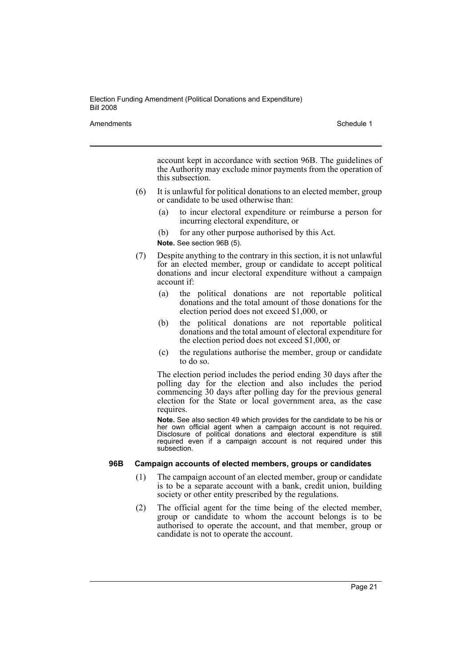Amendments **Amendments** Schedule 1

account kept in accordance with section 96B. The guidelines of the Authority may exclude minor payments from the operation of this subsection.

- (6) It is unlawful for political donations to an elected member, group or candidate to be used otherwise than:
	- (a) to incur electoral expenditure or reimburse a person for incurring electoral expenditure, or
	- (b) for any other purpose authorised by this Act. **Note.** See section 96B (5).
- (7) Despite anything to the contrary in this section, it is not unlawful for an elected member, group or candidate to accept political donations and incur electoral expenditure without a campaign account if:
	- (a) the political donations are not reportable political donations and the total amount of those donations for the election period does not exceed \$1,000, or
	- (b) the political donations are not reportable political donations and the total amount of electoral expenditure for the election period does not exceed \$1,000, or
	- (c) the regulations authorise the member, group or candidate to do so.

The election period includes the period ending 30 days after the polling day for the election and also includes the period commencing 30 days after polling day for the previous general election for the State or local government area, as the case requires.

**Note.** See also section 49 which provides for the candidate to be his or her own official agent when a campaign account is not required. Disclosure of political donations and electoral expenditure is still required even if a campaign account is not required under this subsection.

# **96B Campaign accounts of elected members, groups or candidates**

- (1) The campaign account of an elected member, group or candidate is to be a separate account with a bank, credit union, building society or other entity prescribed by the regulations.
- (2) The official agent for the time being of the elected member, group or candidate to whom the account belongs is to be authorised to operate the account, and that member, group or candidate is not to operate the account.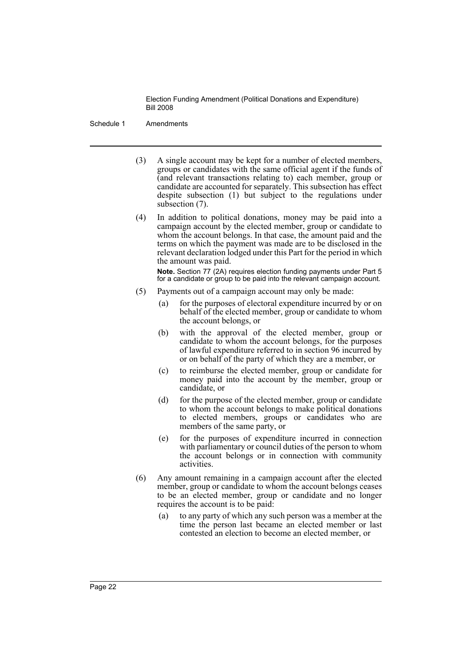Schedule 1 Amendments

- (3) A single account may be kept for a number of elected members, groups or candidates with the same official agent if the funds of (and relevant transactions relating to) each member, group or candidate are accounted for separately. This subsection has effect despite subsection (1) but subject to the regulations under subsection (7).
- (4) In addition to political donations, money may be paid into a campaign account by the elected member, group or candidate to whom the account belongs. In that case, the amount paid and the terms on which the payment was made are to be disclosed in the relevant declaration lodged under this Part for the period in which the amount was paid.

**Note.** Section 77 (2A) requires election funding payments under Part 5 for a candidate or group to be paid into the relevant campaign account.

- (5) Payments out of a campaign account may only be made:
	- (a) for the purposes of electoral expenditure incurred by or on behalf of the elected member, group or candidate to whom the account belongs, or
	- (b) with the approval of the elected member, group or candidate to whom the account belongs, for the purposes of lawful expenditure referred to in section 96 incurred by or on behalf of the party of which they are a member, or
	- (c) to reimburse the elected member, group or candidate for money paid into the account by the member, group or candidate, or
	- (d) for the purpose of the elected member, group or candidate to whom the account belongs to make political donations to elected members, groups or candidates who are members of the same party, or
	- (e) for the purposes of expenditure incurred in connection with parliamentary or council duties of the person to whom the account belongs or in connection with community activities.
- (6) Any amount remaining in a campaign account after the elected member, group or candidate to whom the account belongs ceases to be an elected member, group or candidate and no longer requires the account is to be paid:
	- (a) to any party of which any such person was a member at the time the person last became an elected member or last contested an election to become an elected member, or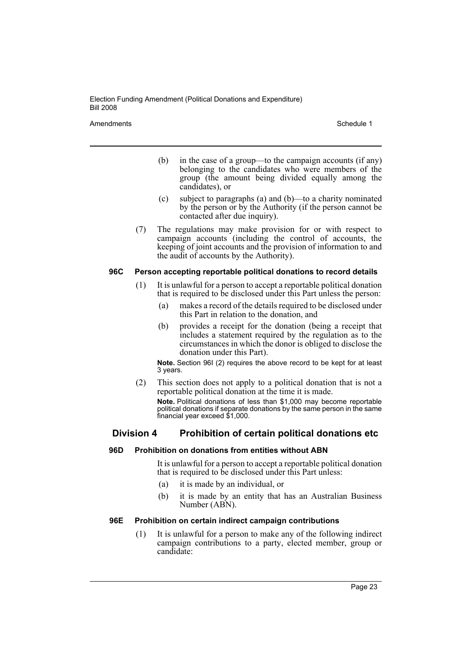Amendments **Amendments** Schedule 1

- (b) in the case of a group—to the campaign accounts (if any) belonging to the candidates who were members of the group (the amount being divided equally among the candidates), or
- (c) subject to paragraphs (a) and (b)—to a charity nominated by the person or by the Authority (if the person cannot be contacted after due inquiry).
- (7) The regulations may make provision for or with respect to campaign accounts (including the control of accounts, the keeping of joint accounts and the provision of information to and the audit of accounts by the Authority).

## **96C Person accepting reportable political donations to record details**

- (1) It is unlawful for a person to accept a reportable political donation that is required to be disclosed under this Part unless the person:
	- (a) makes a record of the details required to be disclosed under this Part in relation to the donation, and
	- (b) provides a receipt for the donation (being a receipt that includes a statement required by the regulation as to the circumstances in which the donor is obliged to disclose the donation under this Part).

**Note.** Section 96I (2) requires the above record to be kept for at least 3 years.

(2) This section does not apply to a political donation that is not a reportable political donation at the time it is made. **Note.** Political donations of less than \$1,000 may become reportable political donations if separate donations by the same person in the same financial year exceed \$1,000.

# **Division 4 Prohibition of certain political donations etc**

#### **96D Prohibition on donations from entities without ABN**

It is unlawful for a person to accept a reportable political donation that is required to be disclosed under this Part unless:

- (a) it is made by an individual, or
- (b) it is made by an entity that has an Australian Business Number (ABN).

#### **96E Prohibition on certain indirect campaign contributions**

(1) It is unlawful for a person to make any of the following indirect campaign contributions to a party, elected member, group or candidate: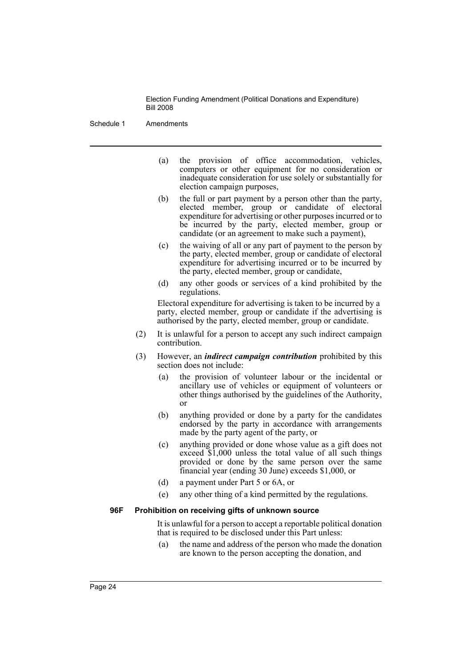Schedule 1 Amendments

- (a) the provision of office accommodation, vehicles, computers or other equipment for no consideration or inadequate consideration for use solely or substantially for election campaign purposes,
- (b) the full or part payment by a person other than the party, elected member, group or candidate of electoral expenditure for advertising or other purposes incurred or to be incurred by the party, elected member, group or candidate (or an agreement to make such a payment),
- (c) the waiving of all or any part of payment to the person by the party, elected member, group or candidate of electoral expenditure for advertising incurred or to be incurred by the party, elected member, group or candidate,
- (d) any other goods or services of a kind prohibited by the regulations.

Electoral expenditure for advertising is taken to be incurred by a party, elected member, group or candidate if the advertising is authorised by the party, elected member, group or candidate.

- (2) It is unlawful for a person to accept any such indirect campaign contribution.
- (3) However, an *indirect campaign contribution* prohibited by this section does not include:
	- (a) the provision of volunteer labour or the incidental or ancillary use of vehicles or equipment of volunteers or other things authorised by the guidelines of the Authority, or
	- (b) anything provided or done by a party for the candidates endorsed by the party in accordance with arrangements made by the party agent of the party, or
	- (c) anything provided or done whose value as a gift does not exceed \$1,000 unless the total value of all such things provided or done by the same person over the same financial year (ending 30 June) exceeds \$1,000, or
	- (d) a payment under Part 5 or 6A, or
	- (e) any other thing of a kind permitted by the regulations.

#### **96F Prohibition on receiving gifts of unknown source**

It is unlawful for a person to accept a reportable political donation that is required to be disclosed under this Part unless:

(a) the name and address of the person who made the donation are known to the person accepting the donation, and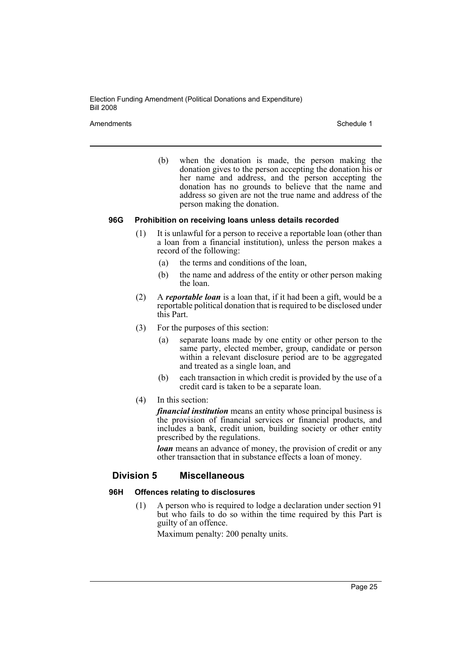Amendments **Schedule 1** and the set of the set of the set of the set of the set of the set of the set of the set of the set of the set of the set of the set of the set of the set of the set of the set of the set of the set

(b) when the donation is made, the person making the donation gives to the person accepting the donation his or her name and address, and the person accepting the donation has no grounds to believe that the name and address so given are not the true name and address of the person making the donation.

### **96G Prohibition on receiving loans unless details recorded**

- (1) It is unlawful for a person to receive a reportable loan (other than a loan from a financial institution), unless the person makes a record of the following:
	- (a) the terms and conditions of the loan,
	- (b) the name and address of the entity or other person making the loan.
- (2) A *reportable loan* is a loan that, if it had been a gift, would be a reportable political donation that is required to be disclosed under this Part.
- (3) For the purposes of this section:
	- (a) separate loans made by one entity or other person to the same party, elected member, group, candidate or person within a relevant disclosure period are to be aggregated and treated as a single loan, and
	- (b) each transaction in which credit is provided by the use of a credit card is taken to be a separate loan.
- (4) In this section:

*financial institution* means an entity whose principal business is the provision of financial services or financial products, and includes a bank, credit union, building society or other entity prescribed by the regulations.

*loan* means an advance of money, the provision of credit or any other transaction that in substance effects a loan of money.

# **Division 5 Miscellaneous**

# **96H Offences relating to disclosures**

(1) A person who is required to lodge a declaration under section 91 but who fails to do so within the time required by this Part is guilty of an offence.

Maximum penalty: 200 penalty units.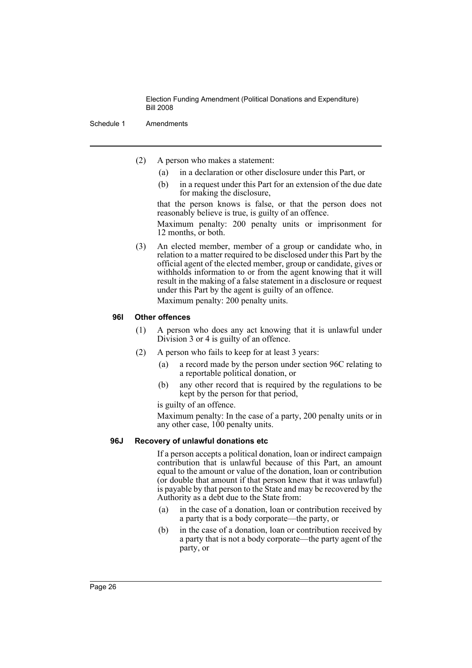Schedule 1 Amendments

- (2) A person who makes a statement:
	- (a) in a declaration or other disclosure under this Part, or
	- (b) in a request under this Part for an extension of the due date for making the disclosure,

that the person knows is false, or that the person does not reasonably believe is true, is guilty of an offence.

Maximum penalty: 200 penalty units or imprisonment for 12 months, or both.

(3) An elected member, member of a group or candidate who, in relation to a matter required to be disclosed under this Part by the official agent of the elected member, group or candidate, gives or withholds information to or from the agent knowing that it will result in the making of a false statement in a disclosure or request under this Part by the agent is guilty of an offence.

Maximum penalty: 200 penalty units.

## **96I Other offences**

- (1) A person who does any act knowing that it is unlawful under Division 3 or 4 is guilty of an offence.
- (2) A person who fails to keep for at least 3 years:
	- (a) a record made by the person under section 96C relating to a reportable political donation, or
	- (b) any other record that is required by the regulations to be kept by the person for that period,

is guilty of an offence.

Maximum penalty: In the case of a party, 200 penalty units or in any other case, 100 penalty units.

#### **96J Recovery of unlawful donations etc**

If a person accepts a political donation, loan or indirect campaign contribution that is unlawful because of this Part, an amount equal to the amount or value of the donation, loan or contribution (or double that amount if that person knew that it was unlawful) is payable by that person to the State and may be recovered by the Authority as a debt due to the State from:

- (a) in the case of a donation, loan or contribution received by a party that is a body corporate—the party, or
- (b) in the case of a donation, loan or contribution received by a party that is not a body corporate—the party agent of the party, or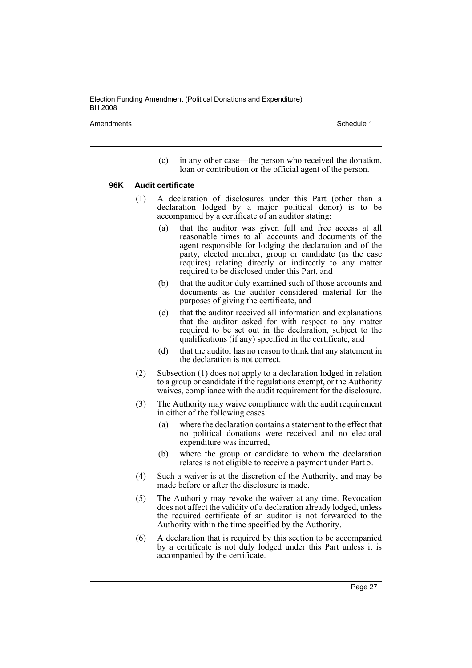Amendments **Amendments** Schedule 1

(c) in any other case—the person who received the donation, loan or contribution or the official agent of the person.

#### **96K Audit certificate**

- (1) A declaration of disclosures under this Part (other than a declaration lodged by a major political donor) is to be accompanied by a certificate of an auditor stating:
	- (a) that the auditor was given full and free access at all reasonable times to all accounts and documents of the agent responsible for lodging the declaration and of the party, elected member, group or candidate (as the case requires) relating directly or indirectly to any matter required to be disclosed under this Part, and
	- (b) that the auditor duly examined such of those accounts and documents as the auditor considered material for the purposes of giving the certificate, and
	- (c) that the auditor received all information and explanations that the auditor asked for with respect to any matter required to be set out in the declaration, subject to the qualifications (if any) specified in the certificate, and
	- (d) that the auditor has no reason to think that any statement in the declaration is not correct.
- (2) Subsection (1) does not apply to a declaration lodged in relation to a group or candidate if the regulations exempt, or the Authority waives, compliance with the audit requirement for the disclosure.
- (3) The Authority may waive compliance with the audit requirement in either of the following cases:
	- (a) where the declaration contains a statement to the effect that no political donations were received and no electoral expenditure was incurred,
	- (b) where the group or candidate to whom the declaration relates is not eligible to receive a payment under Part 5.
- (4) Such a waiver is at the discretion of the Authority, and may be made before or after the disclosure is made.
- (5) The Authority may revoke the waiver at any time. Revocation does not affect the validity of a declaration already lodged, unless the required certificate of an auditor is not forwarded to the Authority within the time specified by the Authority.
- (6) A declaration that is required by this section to be accompanied by a certificate is not duly lodged under this Part unless it is accompanied by the certificate.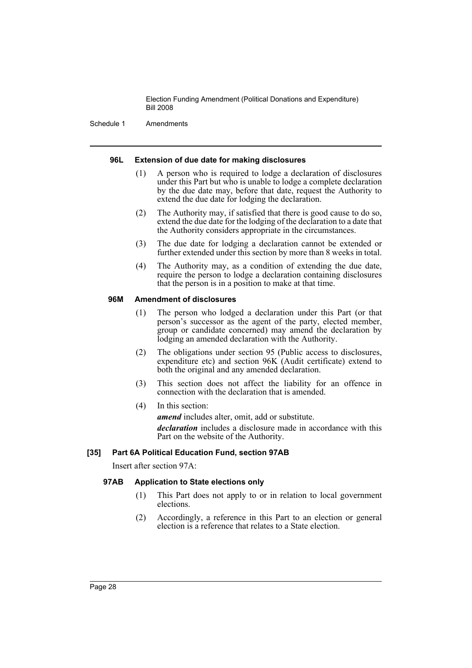Schedule 1 Amendments

#### **96L Extension of due date for making disclosures**

- (1) A person who is required to lodge a declaration of disclosures under this Part but who is unable to lodge a complete declaration by the due date may, before that date, request the Authority to extend the due date for lodging the declaration.
- (2) The Authority may, if satisfied that there is good cause to do so, extend the due date for the lodging of the declaration to a date that the Authority considers appropriate in the circumstances.
- (3) The due date for lodging a declaration cannot be extended or further extended under this section by more than 8 weeks in total.
- (4) The Authority may, as a condition of extending the due date, require the person to lodge a declaration containing disclosures that the person is in a position to make at that time.

# **96M Amendment of disclosures**

- (1) The person who lodged a declaration under this Part (or that person's successor as the agent of the party, elected member, group or candidate concerned) may amend the declaration by lodging an amended declaration with the Authority.
- (2) The obligations under section 95 (Public access to disclosures, expenditure etc) and section 96K (Audit certificate) extend to both the original and any amended declaration.
- (3) This section does not affect the liability for an offence in connection with the declaration that is amended.
- (4) In this section:

*amend* includes alter, omit, add or substitute.

*declaration* includes a disclosure made in accordance with this Part on the website of the Authority.

# **[35] Part 6A Political Education Fund, section 97AB**

Insert after section 97A:

# **97AB Application to State elections only**

- (1) This Part does not apply to or in relation to local government elections.
- (2) Accordingly, a reference in this Part to an election or general election is a reference that relates to a State election.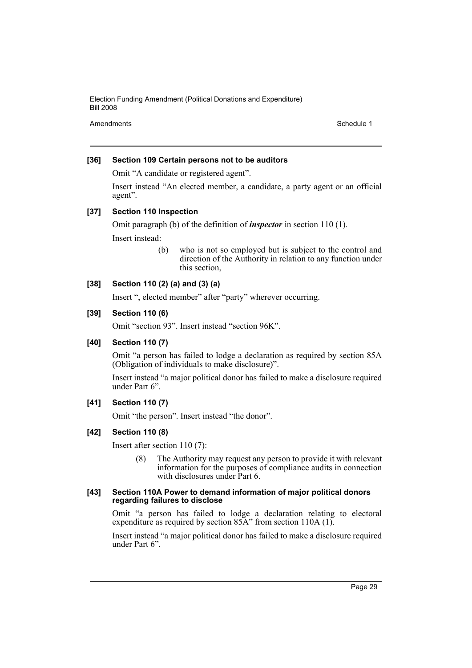Amendments **Schedule 1** and the set of the set of the set of the set of the set of the set of the set of the set of the set of the set of the set of the set of the set of the set of the set of the set of the set of the set

# **[36] Section 109 Certain persons not to be auditors**

Omit "A candidate or registered agent".

Insert instead "An elected member, a candidate, a party agent or an official agent".

### **[37] Section 110 Inspection**

Omit paragraph (b) of the definition of *inspector* in section 110 (1). Insert instead:

> (b) who is not so employed but is subject to the control and direction of the Authority in relation to any function under this section,

# **[38] Section 110 (2) (a) and (3) (a)**

Insert ", elected member" after "party" wherever occurring.

### **[39] Section 110 (6)**

Omit "section 93". Insert instead "section 96K".

# **[40] Section 110 (7)**

Omit "a person has failed to lodge a declaration as required by section 85A (Obligation of individuals to make disclosure)".

Insert instead "a major political donor has failed to make a disclosure required under Part 6".

# **[41] Section 110 (7)**

Omit "the person". Insert instead "the donor".

# **[42] Section 110 (8)**

Insert after section 110 (7):

(8) The Authority may request any person to provide it with relevant information for the purposes of compliance audits in connection with disclosures under Part 6.

#### **[43] Section 110A Power to demand information of major political donors regarding failures to disclose**

Omit "a person has failed to lodge a declaration relating to electoral expenditure as required by section 85A" from section 110A (1).

Insert instead "a major political donor has failed to make a disclosure required under Part 6".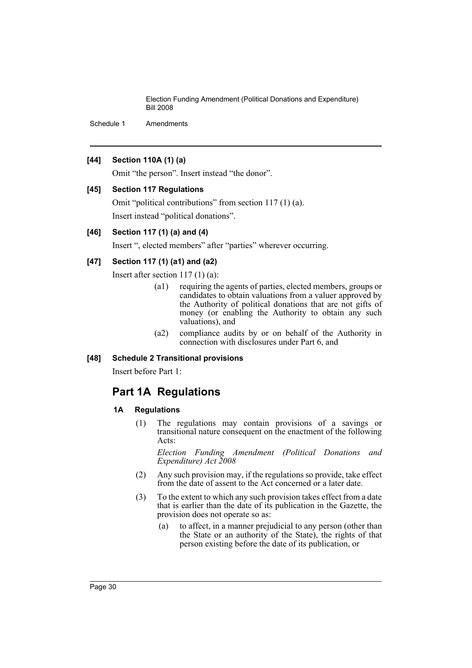Schedule 1 Amendments

# **[44] Section 110A (1) (a)**

Omit "the person". Insert instead "the donor".

# **[45] Section 117 Regulations**

Omit "political contributions" from section 117 (1) (a). Insert instead "political donations".

# **[46] Section 117 (1) (a) and (4)**

Insert ", elected members" after "parties" wherever occurring.

# **[47] Section 117 (1) (a1) and (a2)**

Insert after section 117 (1) (a):

- (a1) requiring the agents of parties, elected members, groups or candidates to obtain valuations from a valuer approved by the Authority of political donations that are not gifts of money (or enabling the Authority to obtain any such valuations), and
- (a2) compliance audits by or on behalf of the Authority in connection with disclosures under Part 6, and

# **[48] Schedule 2 Transitional provisions**

Insert before Part 1:

# **Part 1A Regulations**

#### **1A Regulations**

(1) The regulations may contain provisions of a savings or transitional nature consequent on the enactment of the following Acts:

*Election Funding Amendment (Political Donations and Expenditure) Act 2008*

- (2) Any such provision may, if the regulations so provide, take effect from the date of assent to the Act concerned or a later date.
- (3) To the extent to which any such provision takes effect from a date that is earlier than the date of its publication in the Gazette, the provision does not operate so as:
	- (a) to affect, in a manner prejudicial to any person (other than the State or an authority of the State), the rights of that person existing before the date of its publication, or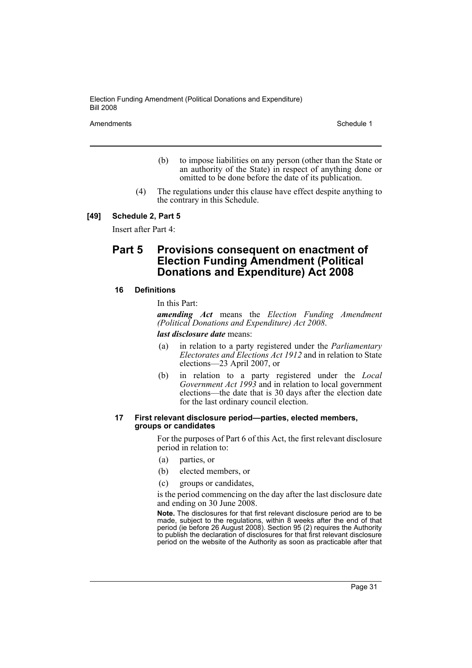Amendments **Schedule 1** and the set of the set of the set of the set of the set of the set of the set of the set of the set of the set of the set of the set of the set of the set of the set of the set of the set of the set

- (b) to impose liabilities on any person (other than the State or an authority of the State) in respect of anything done or omitted to be done before the date of its publication.
- (4) The regulations under this clause have effect despite anything to the contrary in this Schedule.

#### **[49] Schedule 2, Part 5**

Insert after Part 4:

# **Part 5 Provisions consequent on enactment of Election Funding Amendment (Political Donations and Expenditure) Act 2008**

#### **16 Definitions**

In this Part:

*amending Act* means the *Election Funding Amendment (Political Donations and Expenditure) Act 2008*.

*last disclosure date* means:

- (a) in relation to a party registered under the *Parliamentary Electorates and Elections Act 1912* and in relation to State elections—23 April 2007, or
- (b) in relation to a party registered under the *Local Government Act 1993* and in relation to local government elections—the date that is 30 days after the election date for the last ordinary council election.

#### **17 First relevant disclosure period—parties, elected members, groups or candidates**

For the purposes of Part 6 of this Act, the first relevant disclosure period in relation to:

- (a) parties, or
- (b) elected members, or
- (c) groups or candidates,

is the period commencing on the day after the last disclosure date and ending on 30 June 2008.

**Note.** The disclosures for that first relevant disclosure period are to be made, subject to the regulations, within 8 weeks after the end of that period (ie before 26 August 2008). Section 95 (2) requires the Authority to publish the declaration of disclosures for that first relevant disclosure period on the website of the Authority as soon as practicable after that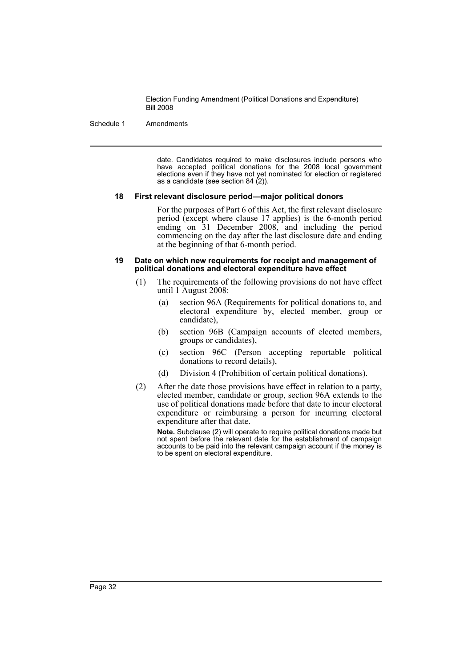#### Schedule 1 Amendments

date. Candidates required to make disclosures include persons who have accepted political donations for the 2008 local government elections even if they have not yet nominated for election or registered as a candidate (see section 84 (2)).

#### **18 First relevant disclosure period—major political donors**

For the purposes of Part 6 of this Act, the first relevant disclosure period (except where clause 17 applies) is the 6-month period ending on 31 December 2008, and including the period commencing on the day after the last disclosure date and ending at the beginning of that 6-month period.

#### **19 Date on which new requirements for receipt and management of political donations and electoral expenditure have effect**

- (1) The requirements of the following provisions do not have effect until 1 August 2008:
	- (a) section 96A (Requirements for political donations to, and electoral expenditure by, elected member, group or candidate),
	- (b) section 96B (Campaign accounts of elected members, groups or candidates),
	- (c) section 96C (Person accepting reportable political donations to record details),
	- (d) Division 4 (Prohibition of certain political donations).
- (2) After the date those provisions have effect in relation to a party, elected member, candidate or group, section 96A extends to the use of political donations made before that date to incur electoral expenditure or reimbursing a person for incurring electoral expenditure after that date.

**Note.** Subclause (2) will operate to require political donations made but not spent before the relevant date for the establishment of campaign accounts to be paid into the relevant campaign account if the money is to be spent on electoral expenditure.